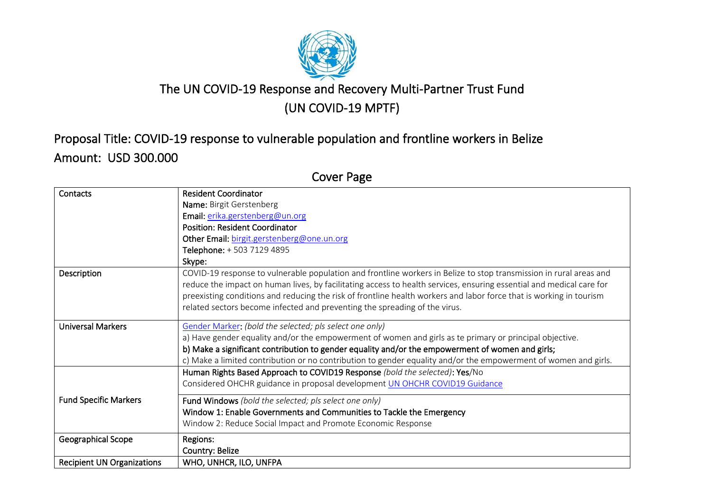

# The UN COVID-19 Response and Recovery Multi-Partner Trust Fund (UN COVID-19 MPTF)

# Proposal Title: COVID-19 response to vulnerable population and frontline workers in Belize Amount: USD 300.000

| Contacts                          | <b>Resident Coordinator</b>                                                                                          |
|-----------------------------------|----------------------------------------------------------------------------------------------------------------------|
|                                   | Name: Birgit Gerstenberg                                                                                             |
|                                   | Email: erika.gerstenberg@un.org                                                                                      |
|                                   | <b>Position: Resident Coordinator</b>                                                                                |
|                                   | Other Email: birgit.gerstenberg@one.un.org                                                                           |
|                                   | Telephone: + 503 7129 4895                                                                                           |
|                                   | Skype:                                                                                                               |
| Description                       | COVID-19 response to vulnerable population and frontline workers in Belize to stop transmission in rural areas and   |
|                                   | reduce the impact on human lives, by facilitating access to health services, ensuring essential and medical care for |
|                                   | preexisting conditions and reducing the risk of frontline health workers and labor force that is working in tourism  |
|                                   | related sectors become infected and preventing the spreading of the virus.                                           |
| <b>Universal Markers</b>          | Gender Marker: (bold the selected; pls select one only)                                                              |
|                                   | a) Have gender equality and/or the empowerment of women and girls as te primary or principal objective.              |
|                                   | b) Make a significant contribution to gender equality and/or the empowerment of women and girls;                     |
|                                   | c) Make a limited contribution or no contribution to gender equality and/or the empowerment of women and girls.      |
|                                   | Human Rights Based Approach to COVID19 Response (bold the selected): Yes/No                                          |
|                                   | Considered OHCHR guidance in proposal development UN OHCHR COVID19 Guidance                                          |
| <b>Fund Specific Markers</b>      | Fund Windows (bold the selected; pls select one only)                                                                |
|                                   | Window 1: Enable Governments and Communities to Tackle the Emergency                                                 |
|                                   | Window 2: Reduce Social Impact and Promote Economic Response                                                         |
| <b>Geographical Scope</b>         | Regions:                                                                                                             |
|                                   | Country: Belize                                                                                                      |
| <b>Recipient UN Organizations</b> | WHO, UNHCR, ILO, UNFPA                                                                                               |

Cover Page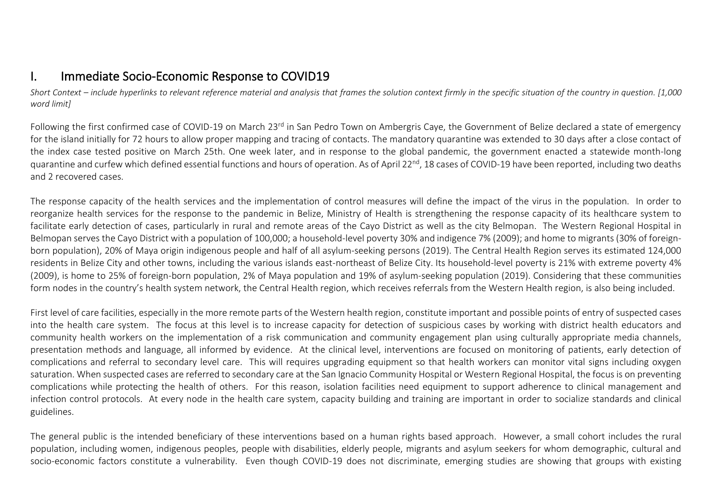Short Context – include hyperlinks to relevant reference material and analysis that frames the solution context firmly in the specific situation of the country in question. [1,000 *word limit]*

Following the first confirmed case of COVID-19 on March 23<sup>rd</sup> in San Pedro Town on Ambergris Caye, the Government of Belize declared a state of emergency for the island initially for 72 hours to allow proper mapping and tracing of contacts. The mandatory quarantine was extended to 30 days after a close contact of the index case tested positive on March 25th. One week later, and in response to the global pandemic, the government enacted a statewide month-long guarantine and curfew which defined essential functions and hours of operation. As of April 22<sup>nd</sup>, 18 cases of COVID-19 have been reported, including two deaths and 2 recovered cases.

The response capacity of the health services and the implementation of control measures will define the impact of the virus in the population. In order to reorganize health services for the response to the pandemic in Belize, Ministry of Health is strengthening the response capacity of its healthcare system to facilitate early detection of cases, particularly in rural and remote areas of the Cayo District as well as the city Belmopan. The Western Regional Hospital in Belmopan serves the Cayo District with a population of 100,000; a household-level poverty 30% and indigence 7% (2009); and home to migrants (30% of foreignborn population), 20% of Maya origin indigenous people and half of all asylum-seeking persons (2019). The Central Health Region serves its estimated 124,000 residents in Belize City and other towns, including the various islands east-northeast of Belize City. Its household-level poverty is 21% with extreme poverty 4% (2009), is home to 25% of foreign-born population, 2% of Maya population and 19% of asylum-seeking population (2019). Considering that these communities form nodes in the country's health system network, the Central Health region, which receives referrals from the Western Health region, is also being included.

First level of care facilities, especially in the more remote parts of the Western health region, constitute important and possible points of entry of suspected cases into the health care system. The focus at this level is to increase capacity for detection of suspicious cases by working with district health educators and community health workers on the implementation of a risk communication and community engagement plan using culturally appropriate media channels, presentation methods and language, all informed by evidence. At the clinical level, interventions are focused on monitoring of patients, early detection of complications and referral to secondary level care. This will requires upgrading equipment so that health workers can monitor vital signs including oxygen saturation. When suspected cases are referred to secondary care at the San Ignacio Community Hospital or Western Regional Hospital, the focus is on preventing complications while protecting the health of others. For this reason, isolation facilities need equipment to support adherence to clinical management and infection control protocols. At every node in the health care system, capacity building and training are important in order to socialize standards and clinical guidelines.

The general public is the intended beneficiary of these interventions based on a human rights based approach. However, a small cohort includes the rural population, including women, indigenous peoples, people with disabilities, elderly people, migrants and asylum seekers for whom demographic, cultural and socio-economic factors constitute a vulnerability. Even though COVID-19 does not discriminate, emerging studies are showing that groups with existing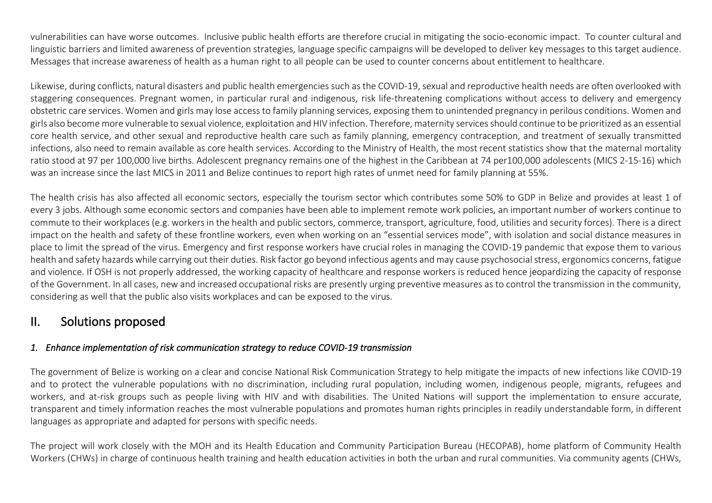vulnerabilities can have worse outcomes. Inclusive public health efforts are therefore crucial in mitigating the socio-economic impact. To counter cultural and linguistic barriers and limited awareness of prevention strategies, language specific campaigns will be developed to deliver key messages to this target audience. Messages that increase awareness of health as a human right to all people can be used to counter concerns about entitlement to healthcare.

Likewise, during conflicts, natural disasters and public health emergencies such as the COVID-19, sexual and reproductive health needs are often overlooked with staggering consequences. Pregnant women, in particular rural and indigenous, risk life-threatening complications without access to delivery and emergency obstetric care services. Women and girls may lose access to family planning services, exposing them to unintended pregnancy in perilous conditions. Women and girls also become more vulnerable to sexual violence, exploitation and HIV infection. Therefore, maternity services should continue to be prioritized as an essential core health service, and other sexual and reproductive health care such as family planning, emergency contraception, and treatment of sexually transmitted infections, also need to remain available as core health services. According to the Ministry of Health, the most recent statistics show that the maternal mortality ratio stood at 97 per 100,000 live births. Adolescent pregnancy remains one of the highest in the Caribbean at 74 per100,000 adolescents (MICS 2-15-16) which was an increase since the last MICS in 2011 and Belize continues to report high rates of unmet need for family planning at 55%.

The health crisis has also affected all economic sectors, especially the tourism sector which contributes some 50% to GDP in Belize and provides at least 1 of every 3 jobs. Although some economic sectors and companies have been able to implement remote work policies, an important number of workers continue to commute to their workplaces (e.g. workers in the health and public sectors, commerce, transport, agriculture, food, utilities and security forces). There is a direct impact on the health and safety of these frontline workers, even when working on an "essential services mode", with isolation and social distance measures in place to limit the spread of the virus. Emergency and first response workers have crucial roles in managing the COVID-19 pandemic that expose them to various health and safety hazards while carrying out their duties. Risk factor go beyond infectious agents and may cause psychosocial stress, ergonomics concerns, fatigue and violence. If OSH is not properly addressed, the working capacity of healthcare and response workers is reduced hence jeopardizing the capacity of response of the Government. In all cases, new and increased occupational risks are presently urging preventive measures as to control the transmission in the community, considering as well that the public also visits workplaces and can be exposed to the virus.

## II. Solutions proposed

#### *1. Enhance implementation of risk communication strategy to reduce COVID-19 transmission*

The government of Belize is working on a clear and concise National Risk Communication Strategy to help mitigate the impacts of new infections like COVID-19 and to protect the vulnerable populations with no discrimination, including rural population, including women, indigenous people, migrants, refugees and workers, and at-risk groups such as people living with HIV and with disabilities. The United Nations will support the implementation to ensure accurate, transparent and timely information reaches the most vulnerable populations and promotes human rights principles in readily understandable form, in different languages as appropriate and adapted for persons with specific needs.

The project will work closely with the MOH and its Health Education and Community Participation Bureau (HECOPAB), home platform of Community Health Workers (CHWs) in charge of continuous health training and health education activities in both the urban and rural communities. Via community agents (CHWs,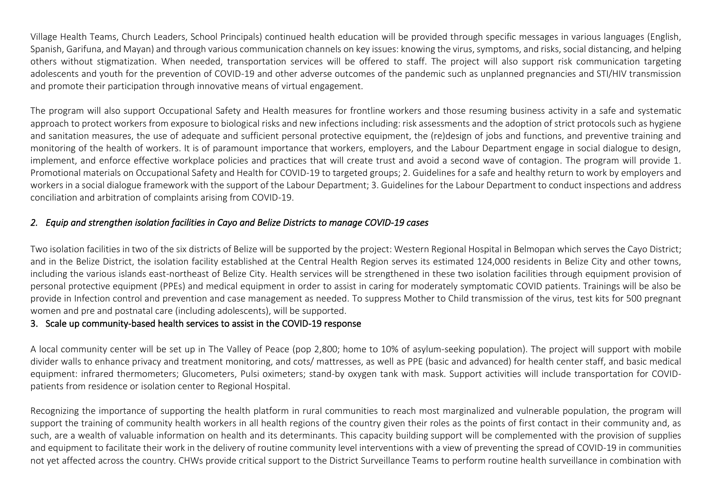Village Health Teams, Church Leaders, School Principals) continued health education will be provided through specific messages in various languages (English, Spanish, Garifuna, and Mayan) and through various communication channels on key issues: knowing the virus, symptoms, and risks, social distancing, and helping others without stigmatization. When needed, transportation services will be offered to staff. The project will also support risk communication targeting adolescents and youth for the prevention of COVID-19 and other adverse outcomes of the pandemic such as unplanned pregnancies and STI/HIV transmission and promote their participation through innovative means of virtual engagement.

The program will also support Occupational Safety and Health measures for frontline workers and those resuming business activity in a safe and systematic approach to protect workers from exposure to biological risks and new infections including: risk assessments and the adoption of strict protocols such as hygiene and sanitation measures, the use of adequate and sufficient personal protective equipment, the (re)design of jobs and functions, and preventive training and monitoring of the health of workers. It is of paramount importance that workers, employers, and the Labour Department engage in social dialogue to design, implement, and enforce effective workplace policies and practices that will create trust and avoid a second wave of contagion. The program will provide 1. Promotional materials on Occupational Safety and Health for COVID-19 to targeted groups; 2. Guidelines for a safe and healthy return to work by employers and workers in a social dialogue framework with the support of the Labour Department; 3. Guidelines for the Labour Department to conduct inspections and address conciliation and arbitration of complaints arising from COVID-19.

#### *2. Equip and strengthen isolation facilities in Cayo and Belize Districts to manage COVID-19 cases*

Two isolation facilities in two of the six districts of Belize will be supported by the project: Western Regional Hospital in Belmopan which serves the Cayo District; and in the Belize District, the isolation facility established at the Central Health Region serves its estimated 124,000 residents in Belize City and other towns, including the various islands east-northeast of Belize City. Health services will be strengthened in these two isolation facilities through equipment provision of personal protective equipment (PPEs) and medical equipment in order to assist in caring for moderately symptomatic COVID patients. Trainings will be also be provide in Infection control and prevention and case management as needed. To suppress Mother to Child transmission of the virus, test kits for 500 pregnant women and pre and postnatal care (including adolescents), will be supported.

#### 3. Scale up community-based health services to assist in the COVID-19 response

A local community center will be set up in The Valley of Peace (pop 2,800; home to 10% of asylum-seeking population). The project will support with mobile divider walls to enhance privacy and treatment monitoring, and cots/ mattresses, as well as PPE (basic and advanced) for health center staff, and basic medical equipment: infrared thermometers; Glucometers, Pulsi oximeters; stand-by oxygen tank with mask. Support activities will include transportation for COVIDpatients from residence or isolation center to Regional Hospital.

Recognizing the importance of supporting the health platform in rural communities to reach most marginalized and vulnerable population, the program will support the training of community health workers in all health regions of the country given their roles as the points of first contact in their community and, as such, are a wealth of valuable information on health and its determinants. This capacity building support will be complemented with the provision of supplies and equipment to facilitate their work in the delivery of routine community level interventions with a view of preventing the spread of COVID-19 in communities not yet affected across the country. CHWs provide critical support to the District Surveillance Teams to perform routine health surveillance in combination with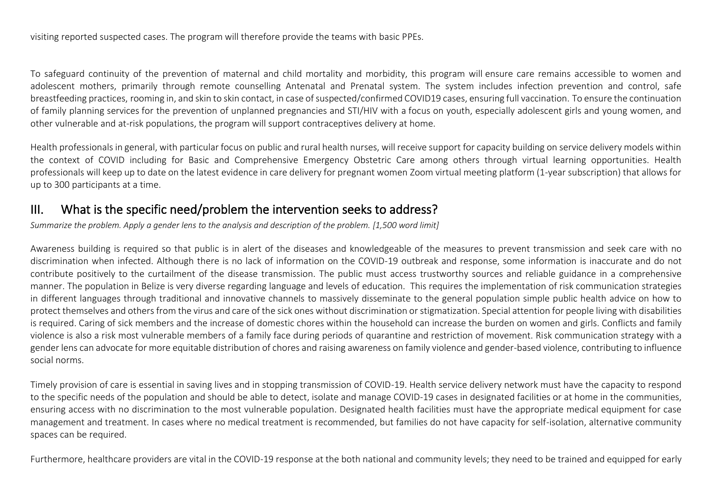visiting reported suspected cases. The program will therefore provide the teams with basic PPEs.

To safeguard continuity of the prevention of maternal and child mortality and morbidity, this program will ensure care remains accessible to women and adolescent mothers, primarily through remote counselling Antenatal and Prenatal system. The system includes infection prevention and control, safe breastfeeding practices, rooming in, and skin to skin contact, in case of suspected/confirmed COVID19 cases, ensuring full vaccination. To ensure the continuation of family planning services for the prevention of unplanned pregnancies and STI/HIV with a focus on youth, especially adolescent girls and young women, and other vulnerable and at-risk populations, the program will support contraceptives delivery at home.

Health professionals in general, with particular focus on public and rural health nurses, will receive support for capacity building on service delivery models within the context of COVID including for Basic and Comprehensive Emergency Obstetric Care among others through virtual learning opportunities. Health professionals will keep up to date on the latest evidence in care delivery for pregnant women Zoom virtual meeting platform (1-year subscription) that allows for up to 300 participants at a time.

#### III. What is the specific need/problem the intervention seeks to address?

*Summarize the problem. Apply [a gender lens](https://www.unwomen.org/en/news/stories/2020/3/news-checklist-for-covid-19-response-by-ded-regner) to the analysis and description of the problem. [1,500 word limit]*

Awareness building is required so that public is in alert of the diseases and knowledgeable of the measures to prevent transmission and seek care with no discrimination when infected. Although there is no lack of information on the COVID-19 outbreak and response, some information is inaccurate and do not contribute positively to the curtailment of the disease transmission. The public must access trustworthy sources and reliable guidance in a comprehensive manner. The population in Belize is very diverse regarding language and levels of education. This requires the implementation of risk communication strategies in different languages through traditional and innovative channels to massively disseminate to the general population simple public health advice on how to protect themselves and others from the virus and care of the sick ones without discrimination or stigmatization. Special attention for people living with disabilities is required. Caring of sick members and the increase of domestic chores within the household can increase the burden on women and girls. Conflicts and family violence is also a risk most vulnerable members of a family face during periods of quarantine and restriction of movement. Risk communication strategy with a gender lens can advocate for more equitable distribution of chores and raising awareness on family violence and gender-based violence, contributing to influence social norms.

Timely provision of care is essential in saving lives and in stopping transmission of COVID-19. Health service delivery network must have the capacity to respond to the specific needs of the population and should be able to detect, isolate and manage COVID-19 cases in designated facilities or at home in the communities, ensuring access with no discrimination to the most vulnerable population. Designated health facilities must have the appropriate medical equipment for case management and treatment. In cases where no medical treatment is recommended, but families do not have capacity for self-isolation, alternative community spaces can be required.

Furthermore, healthcare providers are vital in the COVID-19 response at the both national and community levels; they need to be trained and equipped for early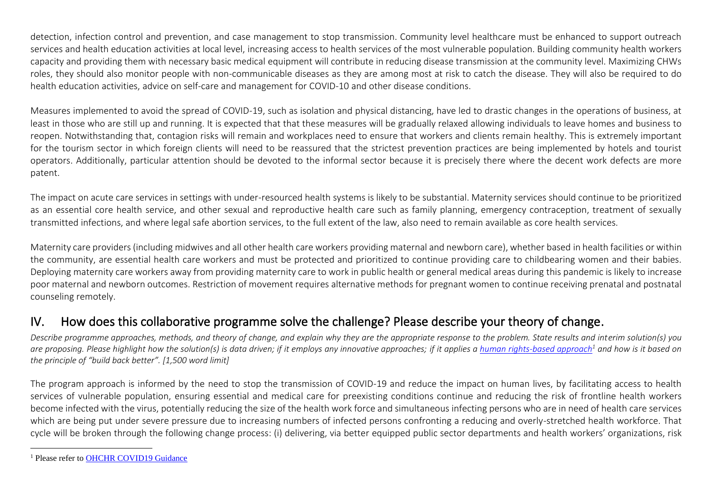detection, infection control and prevention, and case management to stop transmission. Community level healthcare must be enhanced to support outreach services and health education activities at local level, increasing access to health services of the most vulnerable population. Building community health workers capacity and providing them with necessary basic medical equipment will contribute in reducing disease transmission at the community level. Maximizing CHWs roles, they should also monitor people with non-communicable diseases as they are among most at risk to catch the disease. They will also be required to do health education activities, advice on self-care and management for COVID-10 and other disease conditions.

Measures implemented to avoid the spread of COVID-19, such as isolation and physical distancing, have led to drastic changes in the operations of business, at least in those who are still up and running. It is expected that that these measures will be gradually relaxed allowing individuals to leave homes and business to reopen. Notwithstanding that, contagion risks will remain and workplaces need to ensure that workers and clients remain healthy. This is extremely important for the tourism sector in which foreign clients will need to be reassured that the strictest prevention practices are being implemented by hotels and tourist operators. Additionally, particular attention should be devoted to the informal sector because it is precisely there where the decent work defects are more patent.

The impact on acute care services in settings with under-resourced health systems is likely to be substantial. Maternity services should continue to be prioritized as an essential core health service, and other sexual and reproductive health care such as family planning, emergency contraception, treatment of sexually transmitted infections, and where legal safe abortion services, to the full extent of the law, also need to remain available as core health services.

Maternity care providers (including midwives and all other health care workers providing maternal and newborn care), whether based in health facilities or within the community, are essential health care workers and must be protected and prioritized to continue providing care to childbearing women and their babies. Deploying maternity care workers away from providing maternity care to work in public health or general medical areas during this pandemic is likely to increase poor maternal and newborn outcomes. Restriction of movement requires alternative methods for pregnant women to continue receiving prenatal and postnatal counseling remotely.

## IV. How does this collaborative programme solve the challenge? Please describe your theory of change.

*Describe programme approaches, methods, and theory of change, and explain why they are the appropriate response to the problem. State results and interim solution(s) you*  are proposing. Please highlight how the solution(s) is data driven; if it employs any innovative approaches; if it applies a [human rights-based approach](https://www.ohchr.org/EN/NewsEvents/Pages/COVID19Guidance.aspx)<sup>1</sup> and how is it based on *the principle of "build back better". [1,500 word limit]*

The program approach is informed by the need to stop the transmission of COVID-19 and reduce the impact on human lives, by facilitating access to health services of vulnerable population, ensuring essential and medical care for preexisting conditions continue and reducing the risk of frontline health workers become infected with the virus, potentially reducing the size of the health work force and simultaneous infecting persons who are in need of health care services which are being put under severe pressure due to increasing numbers of infected persons confronting a reducing and overly-stretched health workforce. That cycle will be broken through the following change process: (i) delivering, via better equipped public sector departments and health workers' organizations, risk

<sup>&</sup>lt;sup>1</sup> Please refer to OHCHR COVID19 Guidance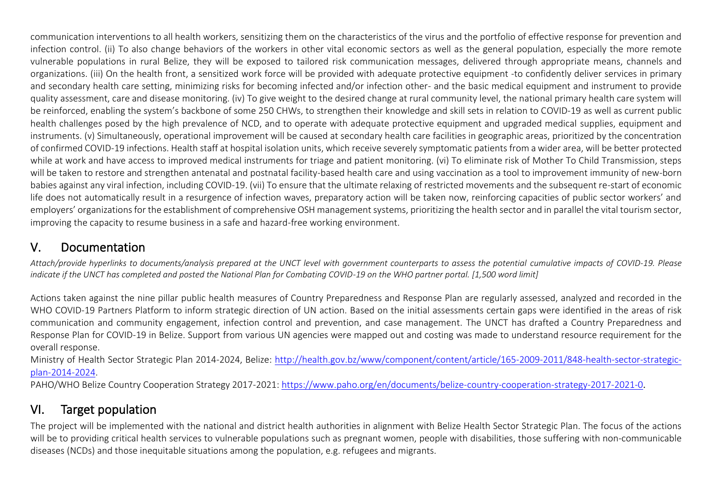communication interventions to all health workers, sensitizing them on the characteristics of the virus and the portfolio of effective response for prevention and infection control. (ii) To also change behaviors of the workers in other vital economic sectors as well as the general population, especially the more remote vulnerable populations in rural Belize, they will be exposed to tailored risk communication messages, delivered through appropriate means, channels and organizations. (iii) On the health front, a sensitized work force will be provided with adequate protective equipment -to confidently deliver services in primary and secondary health care setting, minimizing risks for becoming infected and/or infection other- and the basic medical equipment and instrument to provide quality assessment, care and disease monitoring. (iv) To give weight to the desired change at rural community level, the national primary health care system will be reinforced, enabling the system's backbone of some 250 CHWs, to strengthen their knowledge and skill sets in relation to COVID-19 as well as current public health challenges posed by the high prevalence of NCD, and to operate with adequate protective equipment and upgraded medical supplies, equipment and instruments. (v) Simultaneously, operational improvement will be caused at secondary health care facilities in geographic areas, prioritized by the concentration of confirmed COVID-19 infections. Health staff at hospital isolation units, which receive severely symptomatic patients from a wider area, will be better protected while at work and have access to improved medical instruments for triage and patient monitoring. (vi) To eliminate risk of Mother To Child Transmission, steps will be taken to restore and strengthen antenatal and postnatal facility-based health care and using vaccination as a tool to improvement immunity of new-born babies against any viral infection, including COVID-19. (vii) To ensure that the ultimate relaxing of restricted movements and the subsequent re-start of economic life does not automatically result in a resurgence of infection waves, preparatory action will be taken now, reinforcing capacities of public sector workers' and employers' organizations for the establishment of comprehensive OSH management systems, prioritizing the health sector and in parallel the vital tourism sector, improving the capacity to resume business in a safe and hazard-free working environment.

### V. Documentation

*Attach/provide hyperlinks to documents/analysis prepared at the UNCT level with government counterparts to assess the potential cumulative impacts of COVID-19. Please indicate if the UNCT has completed and posted the National Plan for Combating COVID-19 on the WHO partner portal. [1,500 word limit]*

Actions taken against the nine pillar public health measures of Country Preparedness and Response Plan are regularly assessed, analyzed and recorded in the WHO COVID-19 Partners Platform to inform strategic direction of UN action. Based on the initial assessments certain gaps were identified in the areas of risk communication and community engagement, infection control and prevention, and case management. The UNCT has drafted a Country Preparedness and Response Plan for COVID-19 in Belize. Support from various UN agencies were mapped out and costing was made to understand resource requirement for the overall response.

Ministry of Health Sector Strategic Plan 2014-2024, Belize: [http://health.gov.bz/www/component/content/article/165-2009-2011/848-health-sector-strategic](https://eur03.safelinks.protection.outlook.com/?url=http%3A%2F%2Fhealth.gov.bz%2Fwww%2Fcomponent%2Fcontent%2Farticle%2F165-2009-2011%2F848-health-sector-strategic-plan-2014-2024&data=02%7C01%7Cmaria.a.machicado%40one.un.org%7C4d35ffcc4f744e86ed8c08d7e87113e8%7Cb3e5db5e2944483799f57488ace54319%7C0%7C0%7C637233444697308981&sdata=cPTU4NTQiioyF7CyymbZV0pwy3fDRzrqMnZKw493gzo%3D&reserved=0)[plan-2014-2024.](https://eur03.safelinks.protection.outlook.com/?url=http%3A%2F%2Fhealth.gov.bz%2Fwww%2Fcomponent%2Fcontent%2Farticle%2F165-2009-2011%2F848-health-sector-strategic-plan-2014-2024&data=02%7C01%7Cmaria.a.machicado%40one.un.org%7C4d35ffcc4f744e86ed8c08d7e87113e8%7Cb3e5db5e2944483799f57488ace54319%7C0%7C0%7C637233444697308981&sdata=cPTU4NTQiioyF7CyymbZV0pwy3fDRzrqMnZKw493gzo%3D&reserved=0)

PAHO/WHO Belize Country Cooperation Strategy 2017-2021: [https://www.paho.org/en/documents/belize-country-cooperation-strategy-2017-2021-0](https://eur03.safelinks.protection.outlook.com/?url=https%3A%2F%2Fwww.paho.org%2Fen%2Fdocuments%2Fbelize-country-cooperation-strategy-2017-2021-0&data=02%7C01%7Cmaria.a.machicado%40one.un.org%7C4d35ffcc4f744e86ed8c08d7e87113e8%7Cb3e5db5e2944483799f57488ace54319%7C0%7C0%7C637233444697308981&sdata=oGS55jG8Efw4zs1H42IIS50tWN5jrWxKNjkouPS2YzE%3D&reserved=0).

## VI. Target population

The project will be implemented with the national and district health authorities in alignment with Belize Health Sector Strategic Plan. The focus of the actions will be to providing critical health services to vulnerable populations such as pregnant women, people with disabilities, those suffering with non-communicable diseases (NCDs) and those inequitable situations among the population, e.g. refugees and migrants.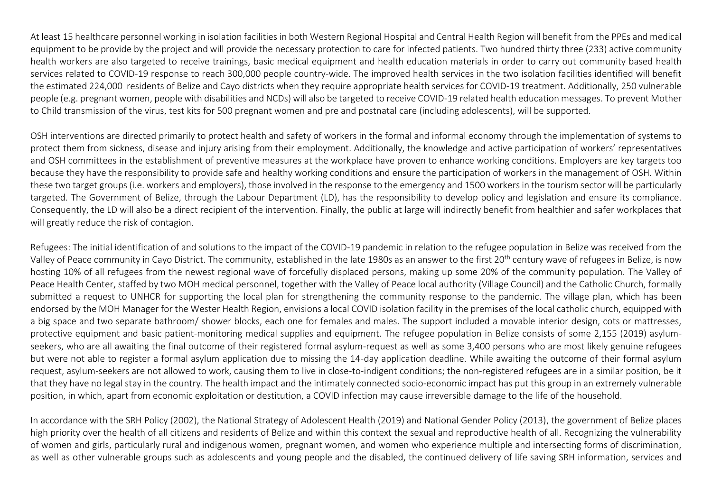At least 15 healthcare personnel working in isolation facilities in both Western Regional Hospital and Central Health Region will benefit from the PPEs and medical equipment to be provide by the project and will provide the necessary protection to care for infected patients. Two hundred thirty three (233) active community health workers are also targeted to receive trainings, basic medical equipment and health education materials in order to carry out community based health services related to COVID-19 response to reach 300,000 people country-wide. The improved health services in the two isolation facilities identified will benefit the estimated 224,000 residents of Belize and Cayo districts when they require appropriate health services for COVID-19 treatment. Additionally, 250 vulnerable people (e.g. pregnant women, people with disabilities and NCDs) will also be targeted to receive COVID-19 related health education messages. To prevent Mother to Child transmission of the virus, test kits for 500 pregnant women and pre and postnatal care (including adolescents), will be supported.

OSH interventions are directed primarily to protect health and safety of workers in the formal and informal economy through the implementation of systems to protect them from sickness, disease and injury arising from their employment. Additionally, the knowledge and active participation of workers' representatives and OSH committees in the establishment of preventive measures at the workplace have proven to enhance working conditions. Employers are key targets too because they have the responsibility to provide safe and healthy working conditions and ensure the participation of workers in the management of OSH. Within these two target groups (i.e. workers and employers), those involved in the response to the emergency and 1500 workers in the tourism sector will be particularly targeted. The Government of Belize, through the Labour Department (LD), has the responsibility to develop policy and legislation and ensure its compliance. Consequently, the LD will also be a direct recipient of the intervention. Finally, the public at large will indirectly benefit from healthier and safer workplaces that will greatly reduce the risk of contagion.

Refugees: The initial identification of and solutions to the impact of the COVID-19 pandemic in relation to the refugee population in Belize was received from the Valley of Peace community in Cayo District. The community, established in the late 1980s as an answer to the first 20<sup>th</sup> century wave of refugees in Belize, is now hosting 10% of all refugees from the newest regional wave of forcefully displaced persons, making up some 20% of the community population. The Valley of Peace Health Center, staffed by two MOH medical personnel, together with the Valley of Peace local authority (Village Council) and the Catholic Church, formally submitted a request to UNHCR for supporting the local plan for strengthening the community response to the pandemic. The village plan, which has been endorsed by the MOH Manager for the Wester Health Region, envisions a local COVID isolation facility in the premises of the local catholic church, equipped with a big space and two separate bathroom/ shower blocks, each one for females and males. The support included a movable interior design, cots or mattresses, protective equipment and basic patient-monitoring medical supplies and equipment. The refugee population in Belize consists of some 2,155 (2019) asylumseekers, who are all awaiting the final outcome of their registered formal asylum-request as well as some 3,400 persons who are most likely genuine refugees but were not able to register a formal asylum application due to missing the 14-day application deadline. While awaiting the outcome of their formal asylum request, asylum-seekers are not allowed to work, causing them to live in close-to-indigent conditions; the non-registered refugees are in a similar position, be it that they have no legal stay in the country. The health impact and the intimately connected socio-economic impact has put this group in an extremely vulnerable position, in which, apart from economic exploitation or destitution, a COVID infection may cause irreversible damage to the life of the household.

In accordance with the SRH Policy (2002), the National Strategy of Adolescent Health (2019) and National Gender Policy (2013), the government of Belize places high priority over the health of all citizens and residents of Belize and within this context the sexual and reproductive health of all. Recognizing the vulnerability of women and girls, particularly rural and indigenous women, pregnant women, and women who experience multiple and intersecting forms of discrimination, as well as other vulnerable groups such as adolescents and young people and the disabled, the continued delivery of life saving SRH information, services and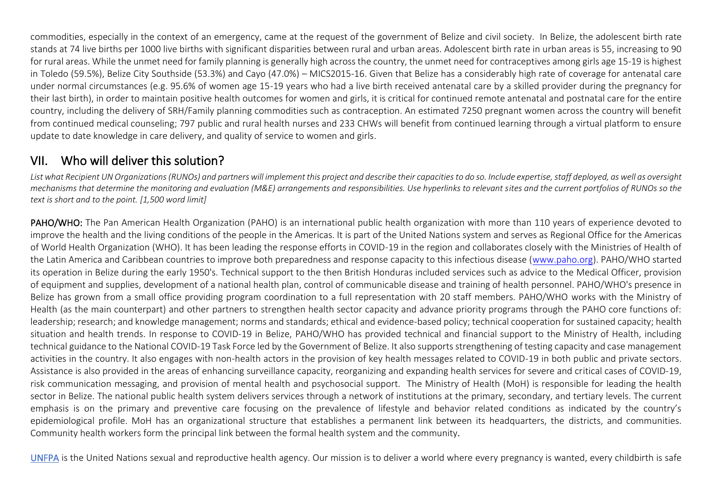commodities, especially in the context of an emergency, came at the request of the government of Belize and civil society. In Belize, the adolescent birth rate stands at 74 live births per 1000 live births with significant disparities between rural and urban areas. Adolescent birth rate in urban areas is 55, increasing to 90 for rural areas. While the unmet need for family planning is generally high across the country, the unmet need for contraceptives among girls age 15-19 is highest in Toledo (59.5%), Belize City Southside (53.3%) and Cayo (47.0%) – MICS2015-16. Given that Belize has a considerably high rate of coverage for antenatal care under normal circumstances (e.g. 95.6% of women age 15-19 years who had a live birth received antenatal care by a skilled provider during the pregnancy for their last birth), in order to maintain positive health outcomes for women and girls, it is critical for continued remote antenatal and postnatal care for the entire country, including the delivery of SRH/Family planning commodities such as contraception. An estimated 7250 pregnant women across the country will benefit from continued medical counseling; 797 public and rural health nurses and 233 CHWs will benefit from continued learning through a virtual platform to ensure update to date knowledge in care delivery, and quality of service to women and girls.

## VII. Who will deliver this solution?

*List what Recipient UN Organizations (RUNOs) and partners will implement this project and describe their capacities to do so. Include expertise, staff deployed, as well as oversight mechanisms that determine the monitoring and evaluation (M&E) arrangements and responsibilities. Use hyperlinks to relevant sites and the current portfolios of RUNOs so the text is short and to the point. [1,500 word limit]*

PAHO/WHO: The Pan American Health Organization (PAHO) is an international public health organization with more than 110 years of experience devoted to improve the health and the living conditions of the people in the Americas. It is part of the United Nations system and serves as Regional Office for the Americas of World Health Organization (WHO). It has been leading the response efforts in COVID-19 in the region and collaborates closely with the Ministries of Health of the Latin America and Caribbean countries to improve both preparedness and response capacity to this infectious disease [\(www.paho.org\)](https://eur03.safelinks.protection.outlook.com/?url=http%3A%2F%2Fwww.paho.org%2F&data=02%7C01%7Cmaria.a.machicado%40one.un.org%7C3a715667110f41010b0608d7e86ecc3b%7Cb3e5db5e2944483799f57488ace54319%7C0%7C0%7C637233434897916007&sdata=UyKaqN6Bqb2VuT%2B32riMosbds1rWcZasMQ48G1fLZeU%3D&reserved=0). PAHO/WHO started its operation in Belize during the early 1950's. Technical support to the then British Honduras included services such as advice to the Medical Officer, provision of equipment and supplies, development of a national health plan, control of communicable disease and training of health personnel. PAHO/WHO's presence in Belize has grown from a small office providing program coordination to a full representation with 20 staff members. PAHO/WHO works with the Ministry of Health (as the main counterpart) and other partners to strengthen health sector capacity and advance priority programs through the PAHO core functions of: leadership; research; and knowledge management; norms and standards; ethical and evidence-based policy; technical cooperation for sustained capacity; health situation and health trends. In response to COVID-19 in Belize, PAHO/WHO has provided technical and financial support to the Ministry of Health, including technical guidance to the National COVID-19 Task Force led by the Government of Belize. It also supports strengthening of testing capacity and case management activities in the country. It also engages with non-health actors in the provision of key health messages related to COVID-19 in both public and private sectors. Assistance is also provided in the areas of enhancing surveillance capacity, reorganizing and expanding health services for severe and critical cases of COVID-19, risk communication messaging, and provision of mental health and psychosocial support. The Ministry of Health (MoH) is responsible for leading the health sector in Belize. The national public health system delivers services through a network of institutions at the primary, secondary, and tertiary levels. The current emphasis is on the primary and preventive care focusing on the prevalence of lifestyle and behavior related conditions as indicated by the country's epidemiological profile. MoH has an organizational structure that establishes a permanent link between its headquarters, the districts, and communities. Community health workers form the principal link between the formal health system and the community*.* 

[UNFPA](https://www.unfpa.org/) is the United Nations sexual and reproductive health agency. Our mission is to deliver a world where every pregnancy is wanted, every childbirth is safe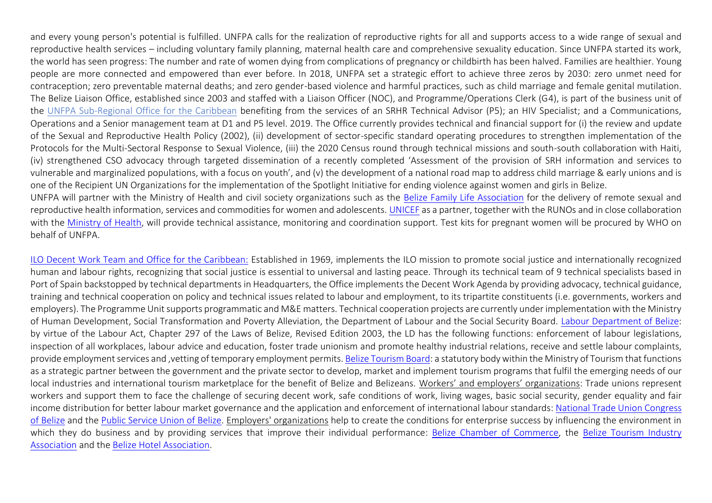and every young person's potential is fulfilled. UNFPA calls for the realization of reproductive rights for all and supports access to a wide range of sexual and reproductive health services – including voluntary family planning, maternal health care and comprehensive sexuality education. Since UNFPA started its work, the world has seen progress: The number and rate of women dying from complications of pregnancy or childbirth has been halved. Families are healthier. Young people are more connected and empowered than ever before. In 2018, UNFPA set a strategic effort to achieve three zeros by 2030: zero unmet need for contraception; zero preventable maternal deaths; and zero gender-based violence and harmful practices, such as child marriage and female genital mutilation. The Belize Liaison Office, established since 2003 and staffed with a Liaison Officer (NOC), and Programme/Operations Clerk (G4), is part of the business unit of the [UNFPA Sub-Regional Office for the Caribbean](https://caribbean.unfpa.org/en) benefiting from the services of an SRHR Technical Advisor (P5); an HIV Specialist; and a Communications, Operations and a Senior management team at D1 and P5 level. 2019. The Office currently provides technical and financial support for (i) the review and update of the Sexual and Reproductive Health Policy (2002), (ii) development of sector-specific standard operating procedures to strengthen implementation of the Protocols for the Multi-Sectoral Response to Sexual Violence, (iii) the 2020 Census round through technical missions and south-south collaboration with Haiti, (iv) strengthened CSO advocacy through targeted dissemination of a recently completed 'Assessment of the provision of SRH information and services to vulnerable and marginalized populations, with a focus on youth', and (v) the development of a national road map to address child marriage & early unions and is one of the Recipient UN Organizations for the implementation of the Spotlight Initiative for ending violence against women and girls in Belize. UNFPA will partner with the Ministry of Health and civil society organizations such as the [Belize Family Life Association](https://www.bflabelize.org/) for the delivery of remote sexual and reproductive health information, services and commodities for women and adolescents. [UNICEF](https://www.unicef.org/belize/) as a partner, together with the RUNOs and in close collaboration with the [Ministry of Health,](http://health.gov.bz/www/) will provide technical assistance, monitoring and coordination support. Test kits for pregnant women will be procured by WHO on

#### behalf of UNFPA.

[ILO Decent Work Team and Office for the Caribbean:](http://ilo.org/caribbean) Established in 1969, implements the ILO mission to promote social justice and internationally recognized human and labour rights, recognizing that social justice is essential to universal and lasting peace. Through its technical team of 9 technical specialists based in Port of Spain backstopped by technical departments in Headquarters, the Office implements the Decent Work Agenda by providing advocacy, technical guidance, training and technical cooperation on policy and technical issues related to labour and employment, to its tripartite constituents (i.e. governments, workers and employers). The Programme Unit supports programmatic and M&E matters. Technical cooperation projects are currently under implementation with the Ministry of Human Development, Social Transformation and Poverty Alleviation, the Department of Labour and the Social Security Board. [Labour Department of Belize:](http://labour.gov.bz/index.php/en/) by virtue of the Labour Act, Chapter 297 of the Laws of Belize, Revised Edition 2003, the LD has the following functions: enforcement of labour legislations, inspection of all workplaces, labour advice and education, foster trade unionism and promote healthy industrial relations, receive and settle labour complaints, provide employment services and ,vetting of temporary employment permits. [Belize Tourism Board:](https://www.belizetourismboard.org/) a statutory body within the Ministry of Tourism that functions as a strategic partner between the government and the private sector to develop, market and implement tourism programs that fulfil the emerging needs of our local industries and international tourism marketplace for the benefit of Belize and Belizeans. Workers' and employers' organizations: Trade unions represent workers and support them to face the challenge of securing decent work, safe conditions of work, living wages, basic social security, gender equality and fair income distribution for better labour market governance and the application and enforcement of international labour standards: [National Trade Union Congress](https://www.facebook.com/NTUC.Belize)  [of Belize](https://www.facebook.com/NTUC.Belize) and the [Public Service Union of Belize.](https://psubelize.org/) Employers' organizations help to create the conditions for enterprise success by influencing the environment in which they do business and by providing services that improve their individual performance: [Belize Chamber of Commerce,](https://www.belize.org/) the Belize Tourism Industry [Association](https://btia.org/) and the [Belize Hotel Association.](https://www.belizehotels.org/)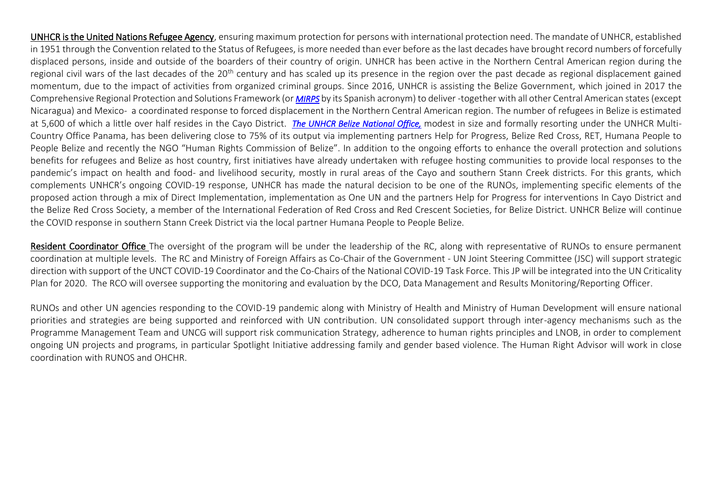UNHCR is the United Nations Refugee Agency, ensuring maximum protection for persons with international protection need. The mandate of UNHCR, established in 1951 through the Convention related to the Status of Refugees, is more needed than ever before as the last decades have brought record numbers of forcefully displaced persons, inside and outside of the boarders of their country of origin. UNHCR has been active in the Northern Central American region during the regional civil wars of the last decades of the 20<sup>th</sup> century and has scaled up its presence in the region over the past decade as regional displacement gained momentum, due to the impact of activities from organized criminal groups. Since 2016, UNHCR is assisting the Belize Government, which joined in 2017 the Comprehensive Regional Protection and Solutions Framework (or *[MIRPS](https://www.acnur.org/5b50db084.pdf)* by its Spanish acronym) to deliver -together with all other Central American states (except Nicaragua) and Mexico- a coordinated response to forced displacement in the Northern Central American region. The number of refugees in Belize is estimated at 5,600 of which a little over half resides in the Cayo District. *[The UNHCR Belize National Office,](https://www.unhcr.org/belize.html)* modest in size and formally resorting under the UNHCR Multi-Country Office Panama, has been delivering close to 75% of its output via implementing partners Help for Progress, Belize Red Cross, RET, Humana People to People Belize and recently the NGO "Human Rights Commission of Belize". In addition to the ongoing efforts to enhance the overall protection and solutions benefits for refugees and Belize as host country, first initiatives have already undertaken with refugee hosting communities to provide local responses to the pandemic's impact on health and food- and livelihood security, mostly in rural areas of the Cayo and southern Stann Creek districts. For this grants, which complements UNHCR's ongoing COVID-19 response, UNHCR has made the natural decision to be one of the RUNOs, implementing specific elements of the proposed action through a mix of Direct Implementation, implementation as One UN and the partners Help for Progress for interventions In Cayo District and the Belize Red Cross Society, a member of the International Federation of Red Cross and Red Crescent Societies, for Belize District. UNHCR Belize will continue the COVID response in southern Stann Creek District via the local partner Humana People to People Belize.

Resident Coordinator Office The oversight of the program will be under the leadership of the RC, along with representative of RUNOs to ensure permanent coordination at multiple levels. The RC and Ministry of Foreign Affairs as Co-Chair of the Government - UN Joint Steering Committee (JSC) will support strategic direction with support of the UNCT COVID-19 Coordinator and the Co-Chairs of the National COVID-19 Task Force. This JP will be integrated into the UN Criticality Plan for 2020. The RCO will oversee supporting the monitoring and evaluation by the DCO, Data Management and Results Monitoring/Reporting Officer.

RUNOs and other UN agencies responding to the COVID-19 pandemic along with Ministry of Health and Ministry of Human Development will ensure national priorities and strategies are being supported and reinforced with UN contribution. UN consolidated support through inter-agency mechanisms such as the Programme Management Team and UNCG will support risk communication Strategy, adherence to human rights principles and LNOB, in order to complement ongoing UN projects and programs, in particular Spotlight Initiative addressing family and gender based violence. The Human Right Advisor will work in close coordination with RUNOS and OHCHR.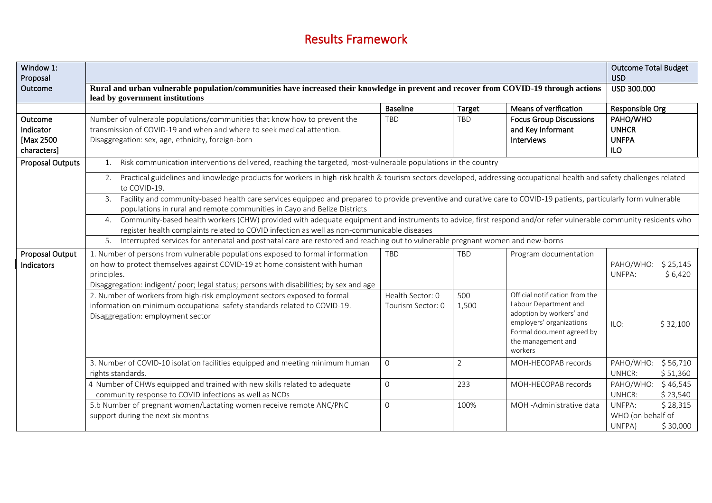# Results Framework

| Window 1:<br>Proposal                            |                                                                                                                                                                                                                                                                         |                                       |              |                                                                                                                                                                               | <b>Outcome Total Budget</b><br><b>USD</b>              |                      |  |  |  |
|--------------------------------------------------|-------------------------------------------------------------------------------------------------------------------------------------------------------------------------------------------------------------------------------------------------------------------------|---------------------------------------|--------------|-------------------------------------------------------------------------------------------------------------------------------------------------------------------------------|--------------------------------------------------------|----------------------|--|--|--|
| Outcome                                          | Rural and urban vulnerable population/communities have increased their knowledge in prevent and recover from COVID-19 through actions<br>lead by government institutions                                                                                                |                                       |              |                                                                                                                                                                               |                                                        |                      |  |  |  |
|                                                  |                                                                                                                                                                                                                                                                         | <b>Baseline</b>                       | Target       | Means of verification                                                                                                                                                         | Responsible Org                                        |                      |  |  |  |
| Outcome<br>Indicator<br>[Max 2500<br>characters] | Number of vulnerable populations/communities that know how to prevent the<br>transmission of COVID-19 and when and where to seek medical attention.<br>Disaggregation: sex, age, ethnicity, foreign-born                                                                | <b>TBD</b>                            | <b>TBD</b>   | <b>Focus Group Discussions</b><br>and Key Informant<br>Interviews                                                                                                             | PAHO/WHO<br><b>UNHCR</b><br><b>UNFPA</b><br><b>ILO</b> |                      |  |  |  |
| <b>Proposal Outputs</b>                          | Risk communication interventions delivered, reaching the targeted, most-vulnerable populations in the country<br>1.                                                                                                                                                     |                                       |              |                                                                                                                                                                               |                                                        |                      |  |  |  |
|                                                  | Practical guidelines and knowledge products for workers in high-risk health & tourism sectors developed, addressing occupational health and safety challenges related<br>2.<br>to COVID-19.                                                                             |                                       |              |                                                                                                                                                                               |                                                        |                      |  |  |  |
|                                                  | 3. Facility and community-based health care services equipped and prepared to provide preventive and curative care to COVID-19 patients, particularly form vulnerable<br>populations in rural and remote communities in Cayo and Belize Districts                       |                                       |              |                                                                                                                                                                               |                                                        |                      |  |  |  |
|                                                  | 4. Community-based health workers (CHW) provided with adequate equipment and instruments to advice, first respond and/or refer vulnerable community residents who<br>register health complaints related to COVID infection as well as non-communicable diseases         |                                       |              |                                                                                                                                                                               |                                                        |                      |  |  |  |
|                                                  | 5. Interrupted services for antenatal and postnatal care are restored and reaching out to vulnerable pregnant women and new-borns                                                                                                                                       |                                       |              |                                                                                                                                                                               |                                                        |                      |  |  |  |
| Proposal Output<br>Indicators                    | 1. Number of persons from vulnerable populations exposed to formal information<br>on how to protect themselves against COVID-19 at home consistent with human<br>principles.<br>Disaggregation: indigent/ poor; legal status; persons with disabilities; by sex and age | <b>TBD</b>                            | TBD          | Program documentation                                                                                                                                                         | PAHO/WHO:<br>UNFPA:                                    | \$25,145<br>\$6,420  |  |  |  |
|                                                  | 2. Number of workers from high-risk employment sectors exposed to formal<br>information on minimum occupational safety standards related to COVID-19.<br>Disaggregation: employment sector                                                                              | Health Sector: 0<br>Tourism Sector: 0 | 500<br>1,500 | Official notification from the<br>Labour Department and<br>adoption by workers' and<br>employers' organizations<br>Formal document agreed by<br>the management and<br>workers | ILO:                                                   | \$32,100             |  |  |  |
|                                                  | 3. Number of COVID-10 isolation facilities equipped and meeting minimum human<br>rights standards.                                                                                                                                                                      | $\mathsf O$                           | 2            | MOH-HECOPAB records                                                                                                                                                           | PAHO/WHO:<br>UNHCR:                                    | \$56,710<br>\$51,360 |  |  |  |
|                                                  | 4 Number of CHWs equipped and trained with new skills related to adequate<br>community response to COVID infections as well as NCDs                                                                                                                                     | $\Omega$                              | 233          | MOH-HECOPAB records                                                                                                                                                           | PAHO/WHO:<br>UNHCR:                                    | \$46,545<br>\$23,540 |  |  |  |
|                                                  | 5.b Number of pregnant women/Lactating women receive remote ANC/PNC<br>support during the next six months                                                                                                                                                               | $\mathbf 0$                           | 100%         | MOH-Administrative data                                                                                                                                                       | UNFPA:<br>WHO (on behalf of<br>UNFPA)                  | \$28,315<br>\$30,000 |  |  |  |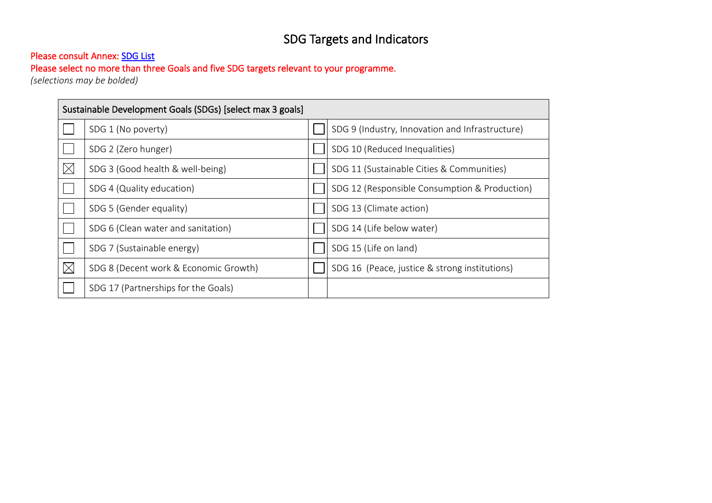# SDG Targets and Indicators

#### Please consult Annex: SDG List

## Please select no more than three Goals and five SDG targets relevant to your programme.

*(selections may be bolded)* 

|             | Sustainable Development Goals (SDGs) [select max 3 goals] |  |                                                 |  |  |  |  |
|-------------|-----------------------------------------------------------|--|-------------------------------------------------|--|--|--|--|
|             | SDG 1 (No poverty)                                        |  | SDG 9 (Industry, Innovation and Infrastructure) |  |  |  |  |
|             | SDG 2 (Zero hunger)                                       |  | SDG 10 (Reduced Inequalities)                   |  |  |  |  |
| $\boxtimes$ | SDG 3 (Good health & well-being)                          |  | SDG 11 (Sustainable Cities & Communities)       |  |  |  |  |
|             | SDG 4 (Quality education)                                 |  | SDG 12 (Responsible Consumption & Production)   |  |  |  |  |
|             | SDG 5 (Gender equality)                                   |  | SDG 13 (Climate action)                         |  |  |  |  |
|             | SDG 6 (Clean water and sanitation)                        |  | SDG 14 (Life below water)                       |  |  |  |  |
|             | SDG 7 (Sustainable energy)                                |  | SDG 15 (Life on land)                           |  |  |  |  |
| $\boxtimes$ | SDG 8 (Decent work & Economic Growth)                     |  | SDG 16 (Peace, justice & strong institutions)   |  |  |  |  |
|             | SDG 17 (Partnerships for the Goals)                       |  |                                                 |  |  |  |  |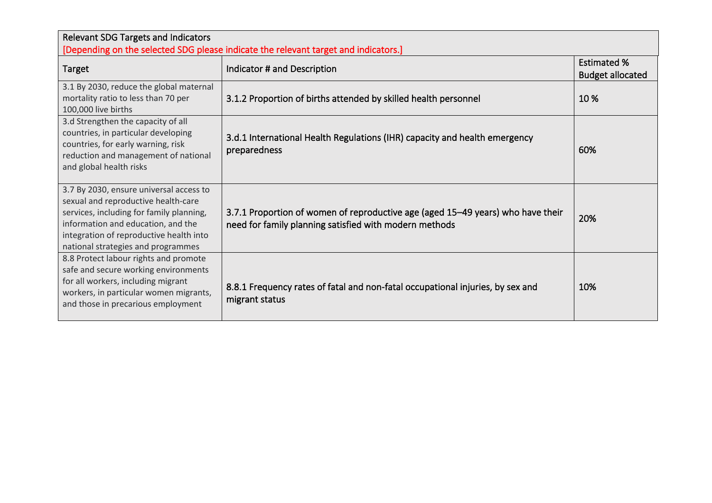| <b>Relevant SDG Targets and Indicators</b><br>[Depending on the selected SDG please indicate the relevant target and indicators.]                                                                                                                 |                                                                                                                                           |                                               |  |  |  |  |  |
|---------------------------------------------------------------------------------------------------------------------------------------------------------------------------------------------------------------------------------------------------|-------------------------------------------------------------------------------------------------------------------------------------------|-----------------------------------------------|--|--|--|--|--|
| Target                                                                                                                                                                                                                                            | Indicator # and Description                                                                                                               | <b>Estimated %</b><br><b>Budget allocated</b> |  |  |  |  |  |
| 3.1 By 2030, reduce the global maternal<br>mortality ratio to less than 70 per<br>100,000 live births                                                                                                                                             | 3.1.2 Proportion of births attended by skilled health personnel                                                                           | 10%                                           |  |  |  |  |  |
| 3.d Strengthen the capacity of all<br>countries, in particular developing<br>countries, for early warning, risk<br>reduction and management of national<br>and global health risks                                                                | 3.d.1 International Health Regulations (IHR) capacity and health emergency<br>preparedness                                                | 60%                                           |  |  |  |  |  |
| 3.7 By 2030, ensure universal access to<br>sexual and reproductive health-care<br>services, including for family planning,<br>information and education, and the<br>integration of reproductive health into<br>national strategies and programmes | 3.7.1 Proportion of women of reproductive age (aged 15–49 years) who have their<br>need for family planning satisfied with modern methods | 20%                                           |  |  |  |  |  |
| 8.8 Protect labour rights and promote<br>safe and secure working environments<br>for all workers, including migrant<br>workers, in particular women migrants,<br>and those in precarious employment                                               | 8.8.1 Frequency rates of fatal and non-fatal occupational injuries, by sex and<br>migrant status                                          | 10%                                           |  |  |  |  |  |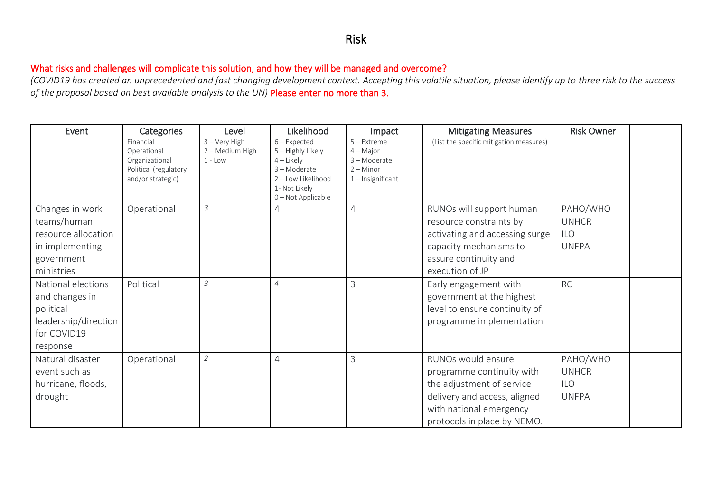### Risk

#### What risks and challenges will complicate this solution, and how they will be managed and overcome?

*(COVID19 has created an unprecedented and fast changing development context. Accepting this volatile situation, please identify up to three risk to the success of the proposal based on best available analysis to the UN)* Please enter no more than 3.

| Event                                                                                                | Categories<br>Financial<br>Operational<br>Organizational<br>Political (regulatory<br>and/or strategic) | Level<br>3 - Very High<br>2 - Medium High<br>$1 - Low$ | Likelihood<br>$6$ – Expected<br>5 - Highly Likely<br>$4$ – Likely<br>3-Moderate<br>2 - Low Likelihood<br>1- Not Likely<br>0-Not Applicable | Impact<br>$5 -$ Extreme<br>$4 - Major$<br>3 - Moderate<br>$2 -$ Minor<br>$1$ – Insignificant | <b>Mitigating Measures</b><br>(List the specific mitigation measures)                                                                                                  | <b>Risk Owner</b>                                      |  |
|------------------------------------------------------------------------------------------------------|--------------------------------------------------------------------------------------------------------|--------------------------------------------------------|--------------------------------------------------------------------------------------------------------------------------------------------|----------------------------------------------------------------------------------------------|------------------------------------------------------------------------------------------------------------------------------------------------------------------------|--------------------------------------------------------|--|
| Changes in work<br>teams/human<br>resource allocation<br>in implementing<br>government<br>ministries | Operational                                                                                            | $\mathcal{S}_{\mathcal{S}}$                            | 4                                                                                                                                          | $\overline{4}$                                                                               | RUNOs will support human<br>resource constraints by<br>activating and accessing surge<br>capacity mechanisms to<br>assure continuity and<br>execution of JP            | PAHO/WHO<br><b>UNHCR</b><br><b>ILO</b><br><b>UNFPA</b> |  |
| National elections<br>and changes in<br>political<br>leadership/direction<br>for COVID19<br>response | Political                                                                                              | $\mathcal{Z}$                                          | $\overline{4}$                                                                                                                             | 3                                                                                            | Early engagement with<br>government at the highest<br>level to ensure continuity of<br>programme implementation                                                        | <b>RC</b>                                              |  |
| Natural disaster<br>event such as<br>hurricane, floods,<br>drought                                   | Operational                                                                                            | $\overline{2}$                                         | $\overline{4}$                                                                                                                             | 3                                                                                            | RUNOs would ensure<br>programme continuity with<br>the adjustment of service<br>delivery and access, aligned<br>with national emergency<br>protocols in place by NEMO. | PAHO/WHO<br><b>UNHCR</b><br><b>ILO</b><br><b>UNFPA</b> |  |